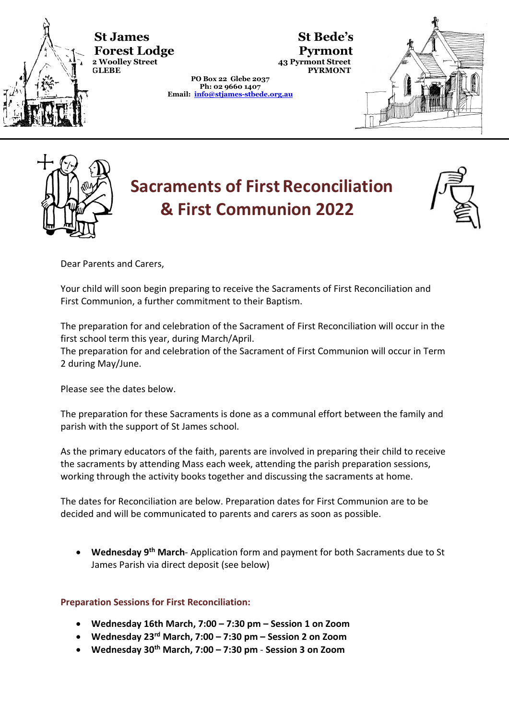

**St St James St Bede's Forest Lodge Pyrmont**<br> **EXECUTE:**<br> **GLEBE** 43 Pyrmont Street<br>
PYRMONT

**PO Box 22 Glebe 2037 Ph: 02 9660 1407 Email: [info@stjames-stbede.org.au](mailto:info@stjames-stbede.org.au)**





# **Sacraments of First Reconciliation & First Communion 2022**



Dear Parents and Carers,

Your child will soon begin preparing to receive the Sacraments of First Reconciliation and First Communion, a further commitment to their Baptism.

The preparation for and celebration of the Sacrament of First Reconciliation will occur in the first school term this year, during March/April.

The preparation for and celebration of the Sacrament of First Communion will occur in Term 2 during May/June.

Please see the dates below.

The preparation for these Sacraments is done as a communal effort between the family and parish with the support of St James school.

As the primary educators of the faith, parents are involved in preparing their child to receive the sacraments by attending Mass each week, attending the parish preparation sessions, working through the activity books together and discussing the sacraments at home.

The dates for Reconciliation are below. Preparation dates for First Communion are to be decided and will be communicated to parents and carers as soon as possible.

• **Wednesday 9th March**- Application form and payment for both Sacraments due to St James Parish via direct deposit (see below)

**Preparation Sessions for First Reconciliation:**

- **Wednesday 16th March, 7:00 – 7:30 pm – Session 1 on Zoom**
- **Wednesday 23rd March, 7:00 – 7:30 pm – Session 2 on Zoom**
- **Wednesday 30th March, 7:00 – 7:30 pm Session 3 on Zoom**